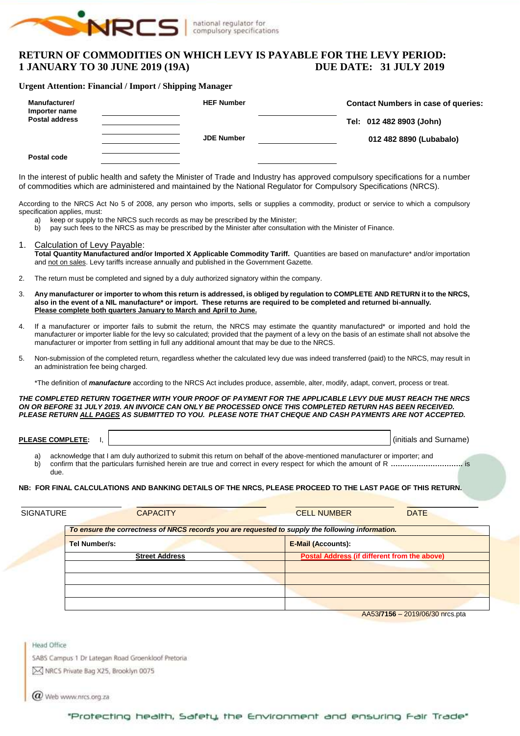

## **RETURN OF COMMODITIES ON WHICH LEVY IS PAYABLE FOR THE LEVY PERIOD: 1 JANUARY TO 30 JUNE 2019 (19A) DUE DATE: 31 JULY 2019**

#### **Urgent Attention: Financial / Import / Shipping Manager**

| Manufacturer/<br>Importer name | <b>HEF Number</b> | <b>Contact Numbers in case of queries:</b> |
|--------------------------------|-------------------|--------------------------------------------|
| <b>Postal address</b>          |                   | Tel: 012 482 8903 (John)                   |
|                                | <b>JDE Number</b> | 012 482 8890 (Lubabalo)                    |
| Postal code                    |                   |                                            |

In the interest of public health and safety the Minister of Trade and Industry has approved compulsory specifications for a number of commodities which are administered and maintained by the National Regulator for Compulsory Specifications (NRCS).

According to the NRCS Act No 5 of 2008, any person who imports, sells or supplies a commodity, product or service to which a compulsory specification applies, must:

- 
- a) keep or supply to the NRCS such records as may be prescribed by the Minister;<br>b) pay such fees to the NRCS as may be prescribed by the Minister after consultati b) pay such fees to the NRCS as may be prescribed by the Minister after consultation with the Minister of Finance.

#### 1. Calculation of Levy Payable:

**Total Quantity Manufactured and/or Imported X Applicable Commodity Tariff.** Quantities are based on manufacture\* and/or importation and not on sales. Levy tariffs increase annually and published in the Government Gazette.

- 2. The return must be completed and signed by a duly authorized signatory within the company.
- 3. **Any manufacturer or importer to whom this return is addressed, is obliged by regulation to COMPLETE AND RETURN it to the NRCS, also in the event of a NIL manufacture\* or import. These returns are required to be completed and returned bi-annually. Please complete both quarters January to March and April to June.**
- 4. If a manufacturer or importer fails to submit the return, the NRCS may estimate the quantity manufactured\* or imported and hold the manufacturer or importer liable for the levy so calculated; provided that the payment of a levy on the basis of an estimate shall not absolve the manufacturer or importer from settling in full any additional amount that may be due to the NRCS.
- 5. Non-submission of the completed return, regardless whether the calculated levy due was indeed transferred (paid) to the NRCS, may result in an administration fee being charged.
	- \*The definition of *manufacture* according to the NRCS Act includes produce, assemble, alter, modify, adapt, convert, process or treat.

*THE COMPLETED RETURN TOGETHER WITH YOUR PROOF OF PAYMENT FOR THE APPLICABLE LEVY DUE MUST REACH THE NRCS ON OR BEFORE 31 JULY 2019. AN INVOICE CAN ONLY BE PROCESSED ONCE THIS COMPLETED RETURN HAS BEEN RECEIVED. PLEASE RETURN ALL PAGES AS SUBMITTED TO YOU. PLEASE NOTE THAT CHEQUE AND CASH PAYMENTS ARE NOT ACCEPTED.*

**PLEASE COMPLETE:** I,  $\begin{bmatrix} 1 & 1 \end{bmatrix}$ 

- a) acknowledge that I am duly authorized to submit this return on behalf of the above-mentioned manufacturer or importer; and<br>b) confirm that the particulars furnished herein are true and correct in every respect for which
- b) confirm that the particulars furnished herein are true and correct in every respect for which the amount of R **………………………….** is due.

#### **NB: FOR FINAL CALCULATIONS AND BANKING DETAILS OF THE NRCS, PLEASE PROCEED TO THE LAST PAGE OF THIS RETURN.**

| <b>SIGNATURE</b> | <b>CAPACITY</b>                                                                                  | <b>CELL NUMBER</b><br><b>DATE</b>                   |  |  |  |  |  |  |  |
|------------------|--------------------------------------------------------------------------------------------------|-----------------------------------------------------|--|--|--|--|--|--|--|
|                  | To ensure the correctness of NRCS records you are requested to supply the following information. |                                                     |  |  |  |  |  |  |  |
|                  | Tel Number/s:                                                                                    | <b>E-Mail (Accounts):</b>                           |  |  |  |  |  |  |  |
|                  | <b>Street Address</b>                                                                            | <b>Postal Address (if different from the above)</b> |  |  |  |  |  |  |  |
|                  |                                                                                                  |                                                     |  |  |  |  |  |  |  |
|                  |                                                                                                  |                                                     |  |  |  |  |  |  |  |
|                  |                                                                                                  |                                                     |  |  |  |  |  |  |  |
|                  |                                                                                                  | $1.1 - 0.0 - 1.0 - 0.0$                             |  |  |  |  |  |  |  |

AA53**/7156** – 2019/06/30 nrcs.pta

**Head Office** SABS Campus 1 Dr Lategan Road Groenkloof Pretoria

MRCS Private Bag X25, Brooklyn 0075

Web www.nrcs.org.za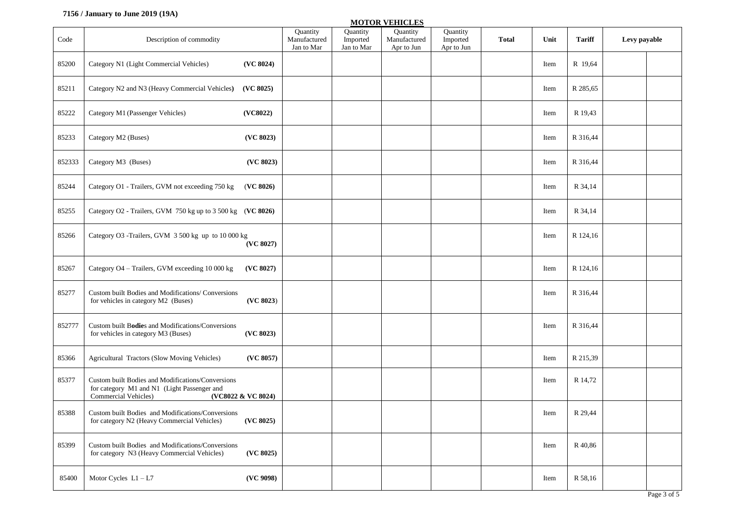## **7156 / January to June 2019 (19A)**

|        |                                                                                                                                                |                                        |                                    | <b>MOTOR VEHICLES</b>                  |                                    |              |      |               |              |             |
|--------|------------------------------------------------------------------------------------------------------------------------------------------------|----------------------------------------|------------------------------------|----------------------------------------|------------------------------------|--------------|------|---------------|--------------|-------------|
| Code   | Description of commodity                                                                                                                       | Quantity<br>Manufactured<br>Jan to Mar | Quantity<br>Imported<br>Jan to Mar | Quantity<br>Manufactured<br>Apr to Jun | Quantity<br>Imported<br>Apr to Jun | <b>Total</b> | Unit | <b>Tariff</b> | Levy payable |             |
| 85200  | Category N1 (Light Commercial Vehicles)<br>(VC 8024)                                                                                           |                                        |                                    |                                        |                                    |              | Item | R 19,64       |              |             |
| 85211  | Category N2 and N3 (Heavy Commercial Vehicles)<br>(VC 8025)                                                                                    |                                        |                                    |                                        |                                    |              | Item | R 285,65      |              |             |
| 85222  | Category M1 (Passenger Vehicles)<br>(VC8022)                                                                                                   |                                        |                                    |                                        |                                    |              | Item | R 19,43       |              |             |
| 85233  | Category M2 (Buses)<br>(VC 8023)                                                                                                               |                                        |                                    |                                        |                                    |              | Item | R 316,44      |              |             |
| 852333 | (VC 8023)<br>Category M3 (Buses)                                                                                                               |                                        |                                    |                                        |                                    |              | Item | R 316,44      |              |             |
| 85244  | Category O1 - Trailers, GVM not exceeding 750 kg<br>(VC 8026)                                                                                  |                                        |                                    |                                        |                                    |              | Item | R 34,14       |              |             |
| 85255  | Category O2 - Trailers, GVM 750 kg up to 3 500 kg (VC 8026)                                                                                    |                                        |                                    |                                        |                                    |              | Item | R 34,14       |              |             |
| 85266  | Category O3 -Trailers, GVM 3 500 kg up to 10 000 kg<br>(VC 8027)                                                                               |                                        |                                    |                                        |                                    |              | Item | R 124,16      |              |             |
| 85267  | Category O4 - Trailers, GVM exceeding 10 000 kg<br>(VC 8027)                                                                                   |                                        |                                    |                                        |                                    |              | Item | R 124,16      |              |             |
| 85277  | Custom built Bodies and Modifications/ Conversions<br>(VC 8023)<br>for vehicles in category M2 (Buses)                                         |                                        |                                    |                                        |                                    |              | Item | R 316,44      |              |             |
| 852777 | Custom built Bodies and Modifications/Conversions<br>(VC 8023)<br>for vehicles in category M3 (Buses)                                          |                                        |                                    |                                        |                                    |              | Item | R 316,44      |              |             |
| 85366  | Agricultural Tractors (Slow Moving Vehicles)<br>(VC 8057)                                                                                      |                                        |                                    |                                        |                                    |              | Item | R 215,39      |              |             |
| 85377  | Custom built Bodies and Modifications/Conversions<br>for category M1 and N1 (Light Passenger and<br>Commercial Vehicles)<br>(VC8022 & VC 8024) |                                        |                                    |                                        |                                    |              | Item | R 14,72       |              |             |
| 85388  | Custom built Bodies and Modifications/Conversions<br>for category N2 (Heavy Commercial Vehicles)<br>(VC 8025)                                  |                                        |                                    |                                        |                                    |              | Item | R 29,44       |              |             |
| 85399  | Custom built Bodies and Modifications/Conversions<br>(VC 8025)<br>for category N3 (Heavy Commercial Vehicles)                                  |                                        |                                    |                                        |                                    |              | Item | R 40,86       |              |             |
| 85400  | Motor Cycles $L1 - L7$<br>(VC 9098)                                                                                                            |                                        |                                    |                                        |                                    |              | Item | R 58,16       |              |             |
|        |                                                                                                                                                |                                        |                                    |                                        |                                    |              |      |               |              | Page 3 of 5 |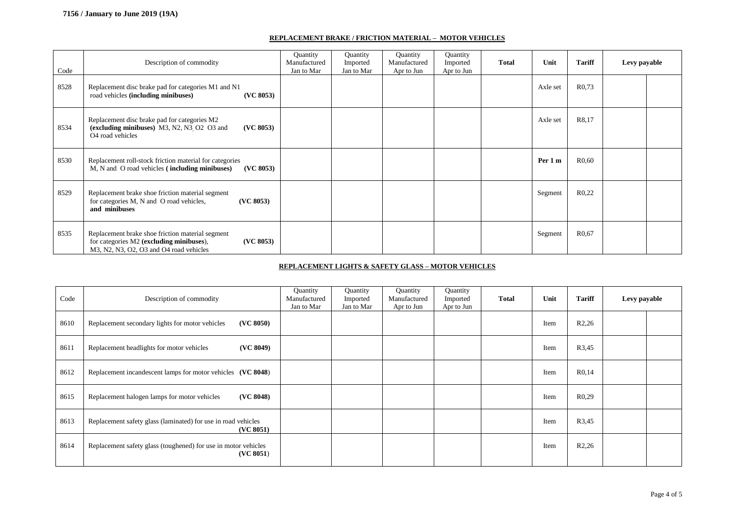#### **REPLACEMENT BRAKE / FRICTION MATERIAL – MOTOR VEHICLES**

| Code | Description of commodity                                                                                                                             | Quantity<br>Manufactured<br>Jan to Mar | Quantity<br>Imported<br>Jan to Mar | Quantity<br>Manufactured<br>Apr to Jun | Quantity<br>Imported<br>Apr to Jun | <b>Total</b> | Unit     | <b>Tariff</b>      | Levy payable |  |
|------|------------------------------------------------------------------------------------------------------------------------------------------------------|----------------------------------------|------------------------------------|----------------------------------------|------------------------------------|--------------|----------|--------------------|--------------|--|
| 8528 | Replacement disc brake pad for categories M1 and N1<br>(VC 8053)<br>road vehicles (including minibuses)                                              |                                        |                                    |                                        |                                    |              | Axle set | R <sub>0</sub> .73 |              |  |
| 8534 | Replacement disc brake pad for categories M2<br>(excluding minibuses) M3, N2, N3 O2 O3 and<br>(VC 8053)<br>O <sub>4</sub> road vehicles              |                                        |                                    |                                        |                                    |              | Axle set | R8,17              |              |  |
| 8530 | Replacement roll-stock friction material for categories<br>M, N and O road vehicles (including minibuses)<br>(VC 8053)                               |                                        |                                    |                                        |                                    |              | Per 1 m  | R0,60              |              |  |
| 8529 | Replacement brake shoe friction material segment<br>for categories M, N and O road vehicles,<br>(VC 8053)<br>and minibuses                           |                                        |                                    |                                        |                                    |              | Segment  | R <sub>0,22</sub>  |              |  |
| 8535 | Replacement brake shoe friction material segment<br>for categories M2 (excluding minibuses),<br>(VC 8053)<br>M3, N2, N3, O2, O3 and O4 road vehicles |                                        |                                    |                                        |                                    |              | Segment  | R0,67              |              |  |

#### **REPLACEMENT LIGHTS & SAFETY GLASS – MOTOR VEHICLES**

| Code | Description of commodity                                                    | Quantity<br>Manufactured<br>Jan to Mar | Quantity<br>Imported<br>Jan to Mar | Quantity<br>Manufactured<br>Apr to Jun | Quantity<br>Imported<br>Apr to Jun | <b>Total</b> | Unit | <b>Tariff</b>       | Levy payable |  |
|------|-----------------------------------------------------------------------------|----------------------------------------|------------------------------------|----------------------------------------|------------------------------------|--------------|------|---------------------|--------------|--|
| 8610 | (VC 8050)<br>Replacement secondary lights for motor vehicles                |                                        |                                    |                                        |                                    |              | Item | R2,26               |              |  |
| 8611 | (VC 8049)<br>Replacement headlights for motor vehicles                      |                                        |                                    |                                        |                                    |              | Item | R3,45               |              |  |
| 8612 | Replacement incandescent lamps for motor vehicles (VC 8048)                 |                                        |                                    |                                        |                                    |              | Item | R <sub>0</sub> , 14 |              |  |
| 8615 | (VC 8048)<br>Replacement halogen lamps for motor vehicles                   |                                        |                                    |                                        |                                    |              | Item | R <sub>0,29</sub>   |              |  |
| 8613 | Replacement safety glass (laminated) for use in road vehicles<br>(VC 8051)  |                                        |                                    |                                        |                                    |              | Item | R3,45               |              |  |
| 8614 | Replacement safety glass (toughened) for use in motor vehicles<br>(VC 8051) |                                        |                                    |                                        |                                    |              | Item | R2,26               |              |  |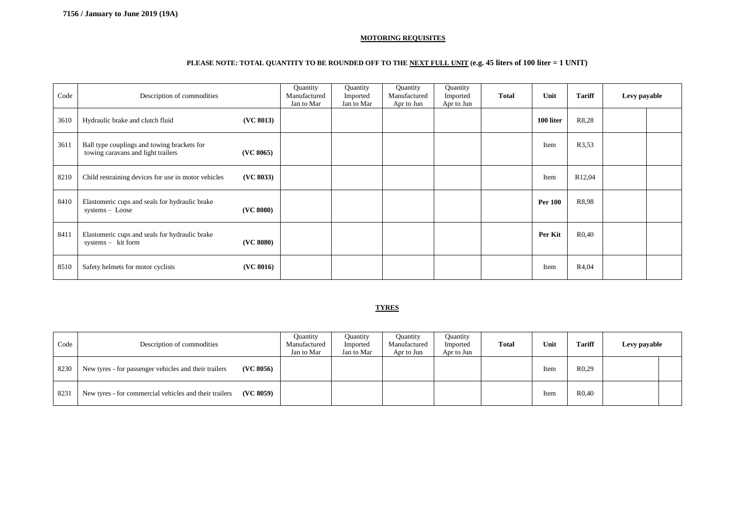#### **MOTORING REQUISITES**

## **PLEASE NOTE: TOTAL QUANTITY TO BE ROUNDED OFF TO THE NEXT FULL UNIT (e.g. 45 liters of 100 liter = 1 UNIT)**

| Code | Description of commodities                                                                     | Quantity<br>Manufactured<br>Jan to Mar | Quantity<br>Imported<br>Jan to Mar | Quantity<br>Manufactured<br>Apr to Jun | Quantity<br>Imported<br>Apr to Jun | <b>Total</b> | Unit           | <b>Tariff</b>       | Levy payable |  |
|------|------------------------------------------------------------------------------------------------|----------------------------------------|------------------------------------|----------------------------------------|------------------------------------|--------------|----------------|---------------------|--------------|--|
| 3610 | (VC 8013)<br>Hydraulic brake and clutch fluid                                                  |                                        |                                    |                                        |                                    |              | 100 liter      | R8,28               |              |  |
| 3611 | Ball type couplings and towing brackets for<br>towing caravans and light trailers<br>(VC 8065) |                                        |                                    |                                        |                                    |              | Item           | R3,53               |              |  |
| 8210 | (VC 8033)<br>Child restraining devices for use in motor vehicles                               |                                        |                                    |                                        |                                    |              | Item           | R <sub>12</sub> ,04 |              |  |
| 8410 | Elastomeric cups and seals for hydraulic brake<br>(VC 8080)<br>systems - Loose                 |                                        |                                    |                                        |                                    |              | <b>Per 100</b> | R8,98               |              |  |
| 8411 | Elastomeric cups and seals for hydraulic brake<br>(VC 8080)<br>systems - kit form              |                                        |                                    |                                        |                                    |              | Per Kit        | R <sub>0</sub> ,40  |              |  |
| 8510 | Safety helmets for motor cyclists<br>(VC 8016)                                                 |                                        |                                    |                                        |                                    |              | Item           | R4,04               |              |  |

#### **TYRES**

| Code | Description of commodities                                          | <b>Quantity</b><br>Manufactured<br>Jan to Mar | Quantity<br>Imported<br>Jan to Mar | <b>Quantity</b><br>Manufactured<br>Apr to Jun | Quantity<br>Imported<br>Apr to Jun | <b>Total</b> | Unit | <b>Tariff</b>     | Levy payable |  |
|------|---------------------------------------------------------------------|-----------------------------------------------|------------------------------------|-----------------------------------------------|------------------------------------|--------------|------|-------------------|--------------|--|
| 8230 | (VC 8056)<br>New tyres - for passenger vehicles and their trailers  |                                               |                                    |                                               |                                    |              | Item | R <sub>0.29</sub> |              |  |
| 8231 | (VC 8059)<br>New tyres - for commercial vehicles and their trailers |                                               |                                    |                                               |                                    |              | Item | R <sub>0.40</sub> |              |  |